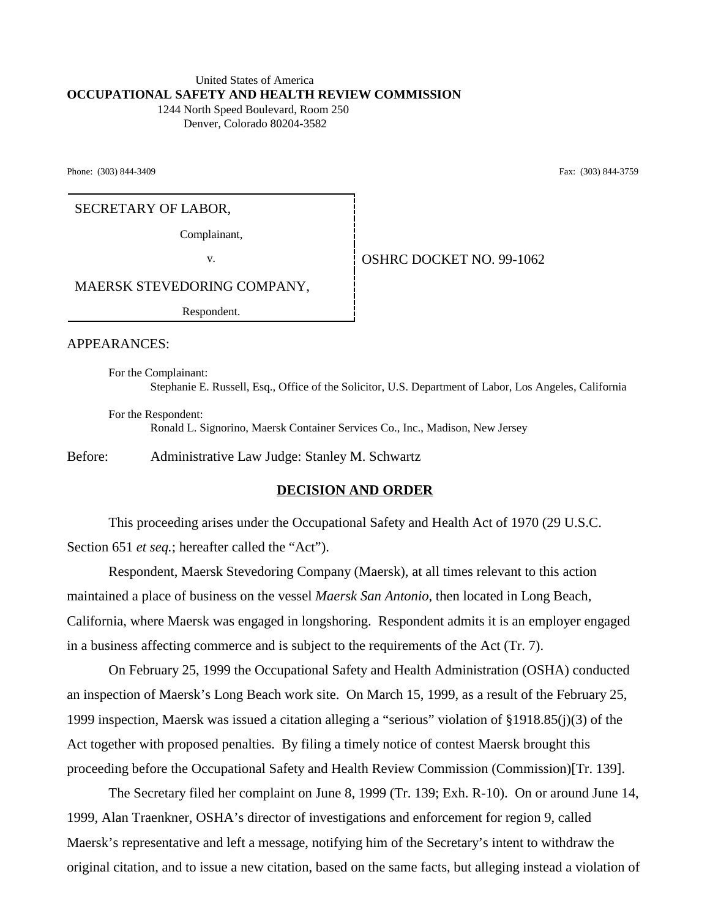# United States of America **OCCUPATIONAL SAFETY AND HEALTH REVIEW COMMISSION**

 1244 North Speed Boulevard, Room 250 Denver, Colorado 80204-3582

Phone: (303) 844-3409 Fax: (303) 844-3759

# SECRETARY OF LABOR,

Complainant,

v. Superior COSHRC DOCKET NO. 99-1062

MAERSK STEVEDORING COMPANY,

Respondent.

APPEARANCES:

For the Complainant: Stephanie E. Russell, Esq., Office of the Solicitor, U.S. Department of Labor, Los Angeles, California

For the Respondent: Ronald L. Signorino, Maersk Container Services Co., Inc., Madison, New Jersey

Before: Administrative Law Judge: Stanley M. Schwartz

### **DECISION AND ORDER**

This proceeding arises under the Occupational Safety and Health Act of 1970 (29 U.S.C. Section 651 *et seq.*; hereafter called the "Act").

Respondent, Maersk Stevedoring Company (Maersk), at all times relevant to this action maintained a place of business on the vessel *Maersk San Antonio*, then located in Long Beach, California, where Maersk was engaged in longshoring. Respondent admits it is an employer engaged in a business affecting commerce and is subject to the requirements of the Act (Tr. 7).

On February 25, 1999 the Occupational Safety and Health Administration (OSHA) conducted an inspection of Maersk's Long Beach work site. On March 15, 1999, as a result of the February 25, 1999 inspection, Maersk was issued a citation alleging a "serious" violation of §1918.85(j)(3) of the Act together with proposed penalties. By filing a timely notice of contest Maersk brought this proceeding before the Occupational Safety and Health Review Commission (Commission)[Tr. 139].

The Secretary filed her complaint on June 8, 1999 (Tr. 139; Exh. R-10). On or around June 14, 1999, Alan Traenkner, OSHA's director of investigations and enforcement for region 9, called Maersk's representative and left a message, notifying him of the Secretary's intent to withdraw the original citation, and to issue a new citation, based on the same facts, but alleging instead a violation of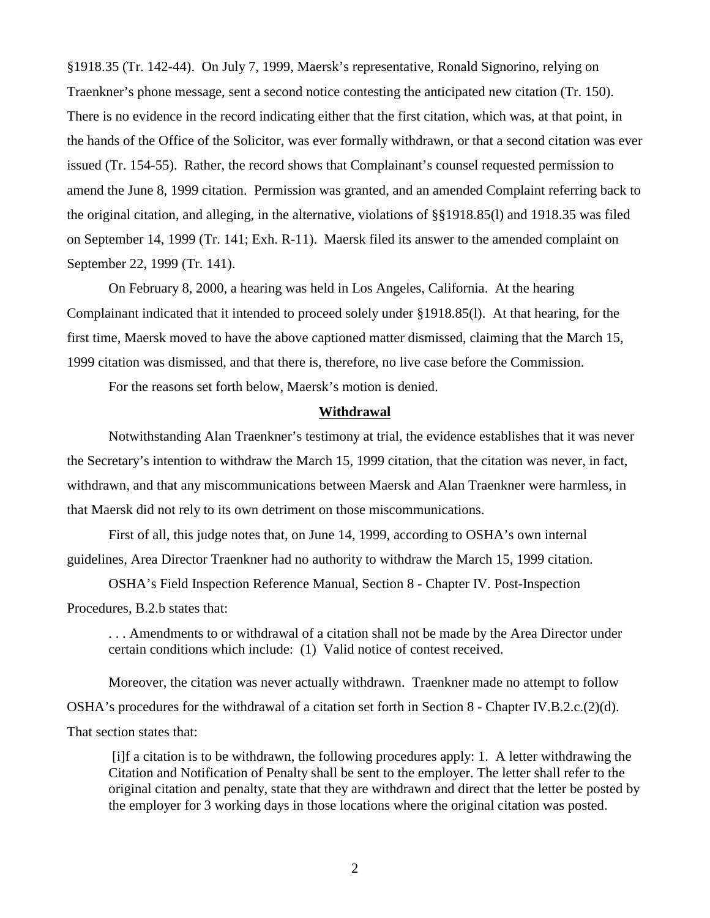§1918.35 (Tr. 142-44). On July 7, 1999, Maersk's representative, Ronald Signorino, relying on Traenkner's phone message, sent a second notice contesting the anticipated new citation (Tr. 150). There is no evidence in the record indicating either that the first citation, which was, at that point, in the hands of the Office of the Solicitor, was ever formally withdrawn, or that a second citation was ever issued (Tr. 154-55). Rather, the record shows that Complainant's counsel requested permission to amend the June 8, 1999 citation. Permission was granted, and an amended Complaint referring back to the original citation, and alleging, in the alternative, violations of §§1918.85(l) and 1918.35 was filed on September 14, 1999 (Tr. 141; Exh. R-11). Maersk filed its answer to the amended complaint on September 22, 1999 (Tr. 141).

On February 8, 2000, a hearing was held in Los Angeles, California. At the hearing Complainant indicated that it intended to proceed solely under §1918.85(l). At that hearing, for the first time, Maersk moved to have the above captioned matter dismissed, claiming that the March 15, 1999 citation was dismissed, and that there is, therefore, no live case before the Commission.

For the reasons set forth below, Maersk's motion is denied.

#### **Withdrawal**

Notwithstanding Alan Traenkner's testimony at trial, the evidence establishes that it was never the Secretary's intention to withdraw the March 15, 1999 citation, that the citation was never, in fact, withdrawn, and that any miscommunications between Maersk and Alan Traenkner were harmless, in that Maersk did not rely to its own detriment on those miscommunications.

First of all, this judge notes that, on June 14, 1999, according to OSHA's own internal guidelines, Area Director Traenkner had no authority to withdraw the March 15, 1999 citation.

OSHA's Field Inspection Reference Manual, Section 8 - Chapter IV. Post-Inspection Procedures, B.2.b states that:

. . . Amendments to or withdrawal of a citation shall not be made by the Area Director under certain conditions which include: (1) Valid notice of contest received.

Moreover, the citation was never actually withdrawn. Traenkner made no attempt to follow OSHA's procedures for the withdrawal of a citation set forth in Section 8 - Chapter IV.B.2.c.(2)(d). That section states that:

 [i]f a citation is to be withdrawn, the following procedures apply: 1. A letter withdrawing the Citation and Notification of Penalty shall be sent to the employer. The letter shall refer to the original citation and penalty, state that they are withdrawn and direct that the letter be posted by the employer for 3 working days in those locations where the original citation was posted.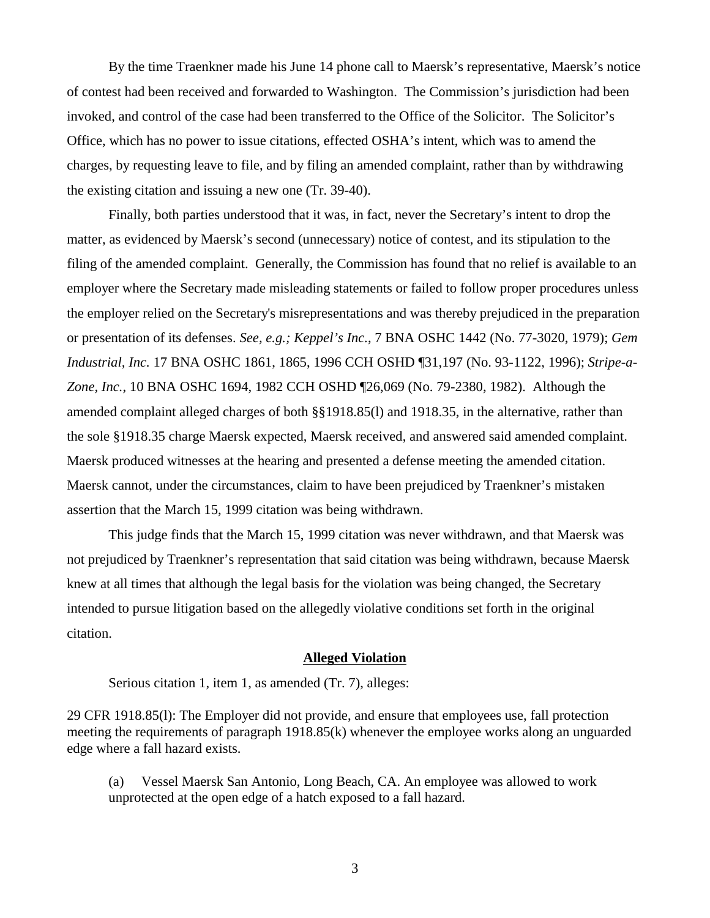By the time Traenkner made his June 14 phone call to Maersk's representative, Maersk's notice of contest had been received and forwarded to Washington. The Commission's jurisdiction had been invoked, and control of the case had been transferred to the Office of the Solicitor. The Solicitor's Office, which has no power to issue citations, effected OSHA's intent, which was to amend the charges, by requesting leave to file, and by filing an amended complaint, rather than by withdrawing the existing citation and issuing a new one (Tr. 39-40).

Finally, both parties understood that it was, in fact, never the Secretary's intent to drop the matter, as evidenced by Maersk's second (unnecessary) notice of contest, and its stipulation to the filing of the amended complaint. Generally, the Commission has found that no relief is available to an employer where the Secretary made misleading statements or failed to follow proper procedures unless the employer relied on the Secretary's misrepresentations and was thereby prejudiced in the preparation or presentation of its defenses. *See, e.g.; Keppel's Inc.*, 7 BNA OSHC 1442 (No. 77-3020, 1979); *Gem Industrial, Inc.* 17 BNA OSHC 1861, 1865, 1996 CCH OSHD ¶31,197 (No. 93-1122, 1996); *Stripe-a-Zone, Inc.*, 10 BNA OSHC 1694, 1982 CCH OSHD ¶26,069 (No. 79-2380, 1982). Although the amended complaint alleged charges of both §§1918.85(l) and 1918.35, in the alternative, rather than the sole §1918.35 charge Maersk expected, Maersk received, and answered said amended complaint. Maersk produced witnesses at the hearing and presented a defense meeting the amended citation. Maersk cannot, under the circumstances, claim to have been prejudiced by Traenkner's mistaken assertion that the March 15, 1999 citation was being withdrawn.

This judge finds that the March 15, 1999 citation was never withdrawn, and that Maersk was not prejudiced by Traenkner's representation that said citation was being withdrawn, because Maersk knew at all times that although the legal basis for the violation was being changed, the Secretary intended to pursue litigation based on the allegedly violative conditions set forth in the original citation.

# **Alleged Violation**

Serious citation 1, item 1, as amended (Tr. 7), alleges:

29 CFR 1918.85(l): The Employer did not provide, and ensure that employees use, fall protection meeting the requirements of paragraph 1918.85(k) whenever the employee works along an unguarded edge where a fall hazard exists.

(a) Vessel Maersk San Antonio, Long Beach, CA. An employee was allowed to work unprotected at the open edge of a hatch exposed to a fall hazard.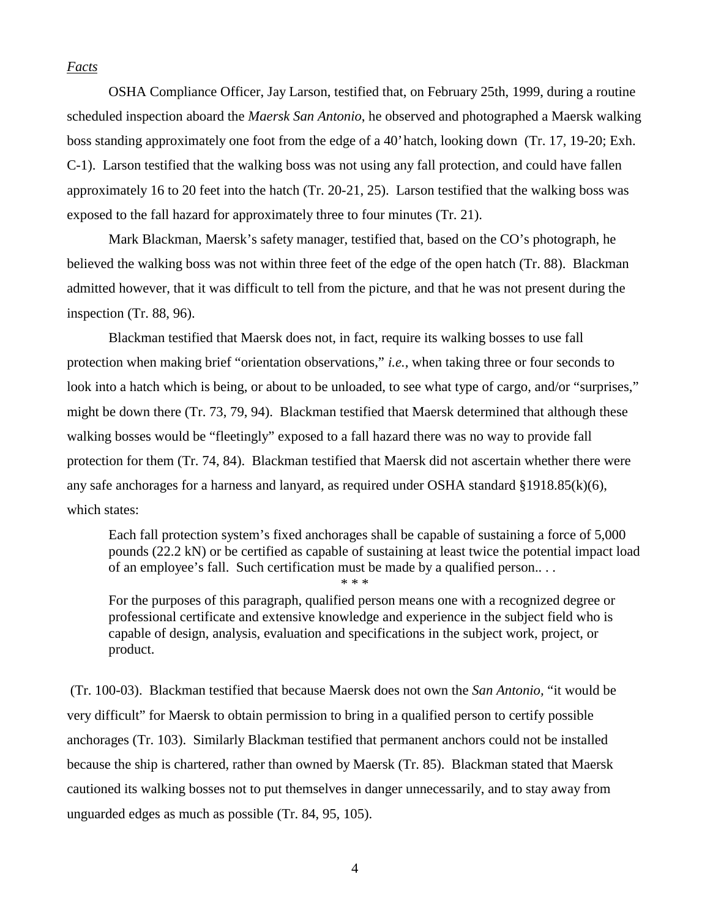# *Facts*

OSHA Compliance Officer, Jay Larson, testified that, on February 25th, 1999, during a routine scheduled inspection aboard the *Maersk San Antonio*, he observed and photographed a Maersk walking boss standing approximately one foot from the edge of a 40' hatch, looking down (Tr. 17, 19-20; Exh. C-1). Larson testified that the walking boss was not using any fall protection, and could have fallen approximately 16 to 20 feet into the hatch (Tr. 20-21, 25). Larson testified that the walking boss was exposed to the fall hazard for approximately three to four minutes (Tr. 21).

Mark Blackman, Maersk's safety manager, testified that, based on the CO's photograph, he believed the walking boss was not within three feet of the edge of the open hatch (Tr. 88). Blackman admitted however, that it was difficult to tell from the picture, and that he was not present during the inspection (Tr. 88, 96).

Blackman testified that Maersk does not, in fact, require its walking bosses to use fall protection when making brief "orientation observations," *i.e.*, when taking three or four seconds to look into a hatch which is being, or about to be unloaded, to see what type of cargo, and/or "surprises," might be down there (Tr. 73, 79, 94). Blackman testified that Maersk determined that although these walking bosses would be "fleetingly" exposed to a fall hazard there was no way to provide fall protection for them (Tr. 74, 84). Blackman testified that Maersk did not ascertain whether there were any safe anchorages for a harness and lanyard, as required under OSHA standard  $\S 1918.85(k)(6)$ , which states:

Each fall protection system's fixed anchorages shall be capable of sustaining a force of 5,000 pounds (22.2 kN) or be certified as capable of sustaining at least twice the potential impact load of an employee's fall. Such certification must be made by a qualified person.. . . \* \* \*

For the purposes of this paragraph, qualified person means one with a recognized degree or professional certificate and extensive knowledge and experience in the subject field who is capable of design, analysis, evaluation and specifications in the subject work, project, or product.

 (Tr. 100-03). Blackman testified that because Maersk does not own the *San Antonio,* "it would be very difficult" for Maersk to obtain permission to bring in a qualified person to certify possible anchorages (Tr. 103). Similarly Blackman testified that permanent anchors could not be installed because the ship is chartered, rather than owned by Maersk (Tr. 85). Blackman stated that Maersk cautioned its walking bosses not to put themselves in danger unnecessarily, and to stay away from unguarded edges as much as possible (Tr. 84, 95, 105).

4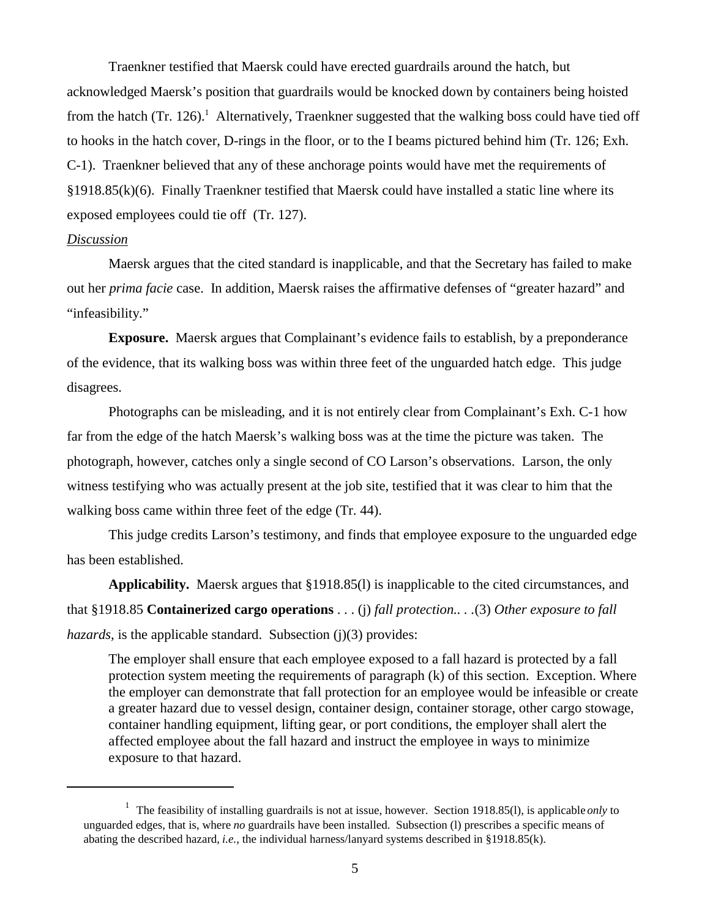Traenkner testified that Maersk could have erected guardrails around the hatch, but acknowledged Maersk's position that guardrails would be knocked down by containers being hoisted from the hatch (Tr. 126).<sup>1</sup> Alternatively, Traenkner suggested that the walking boss could have tied off to hooks in the hatch cover, D-rings in the floor, or to the I beams pictured behind him (Tr. 126; Exh. C-1). Traenkner believed that any of these anchorage points would have met the requirements of §1918.85(k)(6). Finally Traenkner testified that Maersk could have installed a static line where its exposed employees could tie off (Tr. 127).

## *Discussion*

Maersk argues that the cited standard is inapplicable, and that the Secretary has failed to make out her *prima facie* case. In addition, Maersk raises the affirmative defenses of "greater hazard" and "infeasibility."

**Exposure.** Maersk argues that Complainant's evidence fails to establish, by a preponderance of the evidence, that its walking boss was within three feet of the unguarded hatch edge. This judge disagrees.

Photographs can be misleading, and it is not entirely clear from Complainant's Exh. C-1 how far from the edge of the hatch Maersk's walking boss was at the time the picture was taken. The photograph, however, catches only a single second of CO Larson's observations. Larson, the only witness testifying who was actually present at the job site, testified that it was clear to him that the walking boss came within three feet of the edge (Tr. 44).

This judge credits Larson's testimony, and finds that employee exposure to the unguarded edge has been established.

**Applicability.** Maersk argues that §1918.85(l) is inapplicable to the cited circumstances, and that §1918.85 **Containerized cargo operations** . . . (j) *fall protection.. . .*(3) *Other exposure to fall hazards*, is the applicable standard. Subsection (j)(3) provides:

The employer shall ensure that each employee exposed to a fall hazard is protected by a fall protection system meeting the requirements of paragraph (k) of this section. Exception. Where the employer can demonstrate that fall protection for an employee would be infeasible or create a greater hazard due to vessel design, container design, container storage, other cargo stowage, container handling equipment, lifting gear, or port conditions, the employer shall alert the affected employee about the fall hazard and instruct the employee in ways to minimize exposure to that hazard.

<sup>&</sup>lt;sup>1</sup> The feasibility of installing guardrails is not at issue, however. Section 1918.85(1), is applicable *only* to unguarded edges, that is, where *no* guardrails have been installed. Subsection (l) prescribes a specific means of abating the described hazard, *i.e.,* the individual harness/lanyard systems described in §1918.85(k).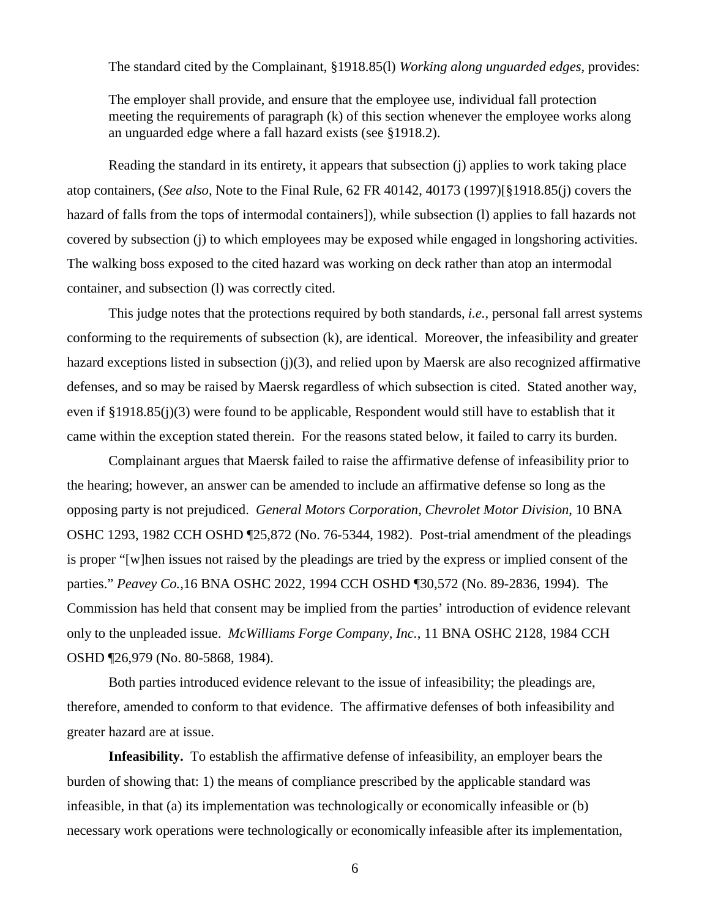The standard cited by the Complainant, §1918.85(l) *Working along unguarded edges,* provides:

The employer shall provide, and ensure that the employee use, individual fall protection meeting the requirements of paragraph (k) of this section whenever the employee works along an unguarded edge where a fall hazard exists (see §1918.2).

Reading the standard in its entirety, it appears that subsection (j) applies to work taking place atop containers, (*See also,* Note to the Final Rule, 62 FR 40142, 40173 (1997)[§1918.85(j) covers the hazard of falls from the tops of intermodal containers]), while subsection (l) applies to fall hazards not covered by subsection (j) to which employees may be exposed while engaged in longshoring activities. The walking boss exposed to the cited hazard was working on deck rather than atop an intermodal container, and subsection (l) was correctly cited.

This judge notes that the protections required by both standards, *i.e.,* personal fall arrest systems conforming to the requirements of subsection (k), are identical. Moreover, the infeasibility and greater hazard exceptions listed in subsection (j)(3), and relied upon by Maersk are also recognized affirmative defenses, and so may be raised by Maersk regardless of which subsection is cited. Stated another way, even if §1918.85(j)(3) were found to be applicable, Respondent would still have to establish that it came within the exception stated therein. For the reasons stated below, it failed to carry its burden.

Complainant argues that Maersk failed to raise the affirmative defense of infeasibility prior to the hearing; however, an answer can be amended to include an affirmative defense so long as the opposing party is not prejudiced. *General Motors Corporation, Chevrolet Motor Division*, 10 BNA OSHC 1293, 1982 CCH OSHD ¶25,872 (No. 76-5344, 1982). Post-trial amendment of the pleadings is proper "[w]hen issues not raised by the pleadings are tried by the express or implied consent of the parties." *Peavey Co.,*16 BNA OSHC 2022, 1994 CCH OSHD ¶30,572 (No. 89-2836, 1994). The Commission has held that consent may be implied from the parties' introduction of evidence relevant only to the unpleaded issue. *McWilliams Forge Company, Inc.*, 11 BNA OSHC 2128, 1984 CCH OSHD ¶26,979 (No. 80-5868, 1984).

 Both parties introduced evidence relevant to the issue of infeasibility; the pleadings are, therefore, amended to conform to that evidence. The affirmative defenses of both infeasibility and greater hazard are at issue.

**Infeasibility.** To establish the affirmative defense of infeasibility, an employer bears the burden of showing that: 1) the means of compliance prescribed by the applicable standard was infeasible, in that (a) its implementation was technologically or economically infeasible or (b) necessary work operations were technologically or economically infeasible after its implementation,

6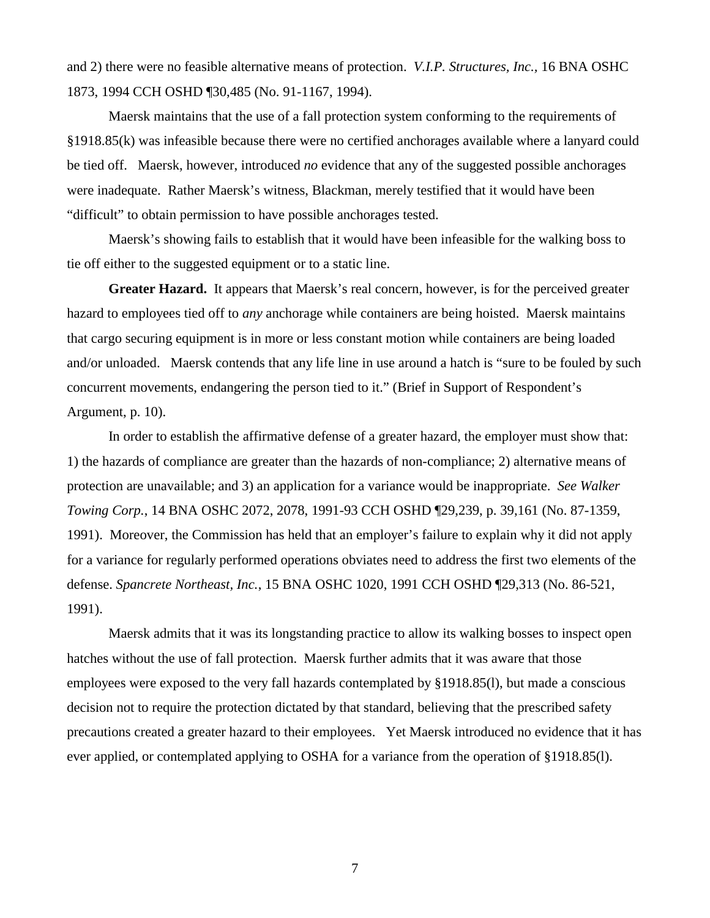and 2) there were no feasible alternative means of protection. *V.I.P. Structures, Inc.,* 16 BNA OSHC 1873, 1994 CCH OSHD ¶30,485 (No. 91-1167, 1994).

Maersk maintains that the use of a fall protection system conforming to the requirements of §1918.85(k) was infeasible because there were no certified anchorages available where a lanyard could be tied off. Maersk, however, introduced *no* evidence that any of the suggested possible anchorages were inadequate. Rather Maersk's witness, Blackman, merely testified that it would have been "difficult" to obtain permission to have possible anchorages tested.

Maersk's showing fails to establish that it would have been infeasible for the walking boss to tie off either to the suggested equipment or to a static line.

Greater Hazard. It appears that Maersk's real concern, however, is for the perceived greater hazard to employees tied off to *any* anchorage while containers are being hoisted. Maersk maintains that cargo securing equipment is in more or less constant motion while containers are being loaded and/or unloaded. Maersk contends that any life line in use around a hatch is "sure to be fouled by such concurrent movements, endangering the person tied to it." (Brief in Support of Respondent's Argument, p. 10).

In order to establish the affirmative defense of a greater hazard, the employer must show that: 1) the hazards of compliance are greater than the hazards of non-compliance; 2) alternative means of protection are unavailable; and 3) an application for a variance would be inappropriate. *See Walker Towing Corp.*, 14 BNA OSHC 2072, 2078, 1991-93 CCH OSHD ¶29,239, p. 39,161 (No. 87-1359, 1991). Moreover, the Commission has held that an employer's failure to explain why it did not apply for a variance for regularly performed operations obviates need to address the first two elements of the defense. *Spancrete Northeast, Inc.*, 15 BNA OSHC 1020, 1991 CCH OSHD ¶29,313 (No. 86-521, 1991).

Maersk admits that it was its longstanding practice to allow its walking bosses to inspect open hatches without the use of fall protection. Maersk further admits that it was aware that those employees were exposed to the very fall hazards contemplated by §1918.85(l), but made a conscious decision not to require the protection dictated by that standard, believing that the prescribed safety precautions created a greater hazard to their employees. Yet Maersk introduced no evidence that it has ever applied, or contemplated applying to OSHA for a variance from the operation of §1918.85(l).

7